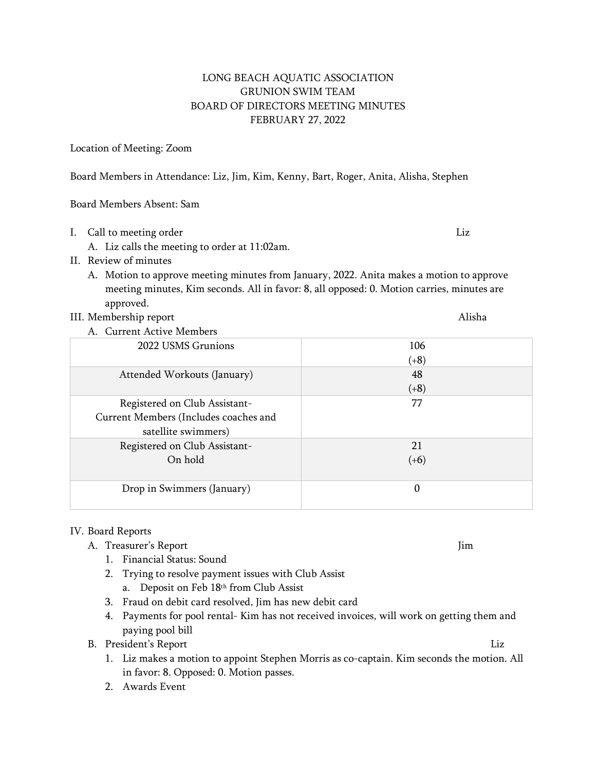## LONG BEACH AQUATIC ASSOCIATION GRUNION SWIM TEAM BOARD OF DIRECTORS MEETING MINUTES FEBRUARY 27, 2022

## Location of Meeting: Zoom

Board Members in Attendance: Liz, Jim, Kim, Kenny, Bart, Roger, Anita, Alisha, Stephen

Board Members Absent: Sam

- I. Call to meeting order and the state of the control of the control of the control of the control of the control of the control of the control of the control of the control of the control of the control of the control of
	- A. Liz calls the meeting to order at 11:02am.
- II. Review of minutes
	- A. Motion to approve meeting minutes from January, 2022. Anita makes a motion to approve meeting minutes, Kim seconds. All in favor: 8, all opposed: 0. Motion carries, minutes are approved.
- III. Membership report Alisha

| A. Current Active Members             |        |
|---------------------------------------|--------|
| 2022 USMS Grunions                    | 106    |
|                                       | $(+8)$ |
| Attended Workouts (January)           | 48     |
|                                       | $(+8)$ |
| Registered on Club Assistant-         | 77     |
| Current Members (Includes coaches and |        |
| satellite swimmers)                   |        |
| Registered on Club Assistant-         | 21     |
| On hold                               | $(+6)$ |
|                                       |        |
| Drop in Swimmers (January)            | 0      |
|                                       |        |

## IV. Board Reports

- A. Treasurer's Report Jim
	- 1. Financial Status: Sound
	- 2. Trying to resolve payment issues with Club Assist
		- a. Deposit on Feb 18th from Club Assist
	- 3. Fraud on debit card resolved, Jim has new debit card
	- 4. Payments for pool rental- Kim has not received invoices, will work on getting them and paying pool bill
- B. President's Report Liz
	- 1. Liz makes a motion to appoint Stephen Morris as co-captain. Kim seconds the motion. All in favor: 8. Opposed: 0. Motion passes.
	- 2. Awards Event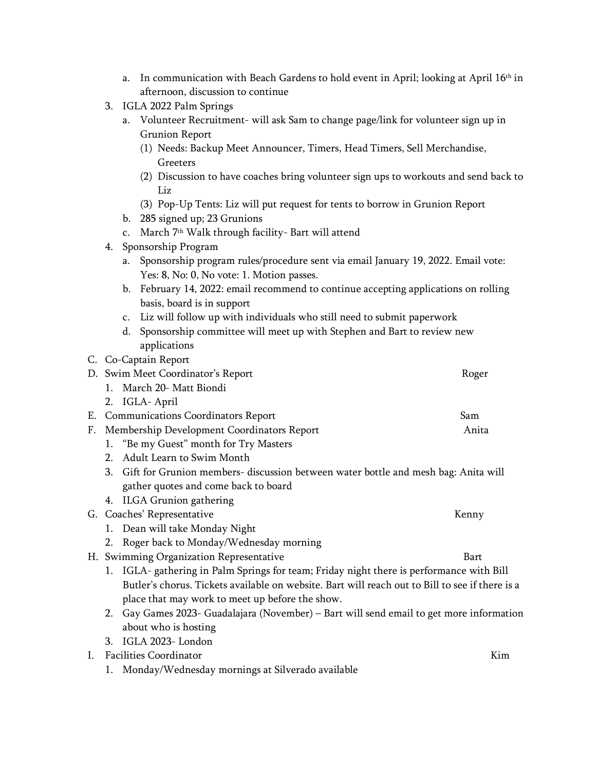- a. In communication with Beach Gardens to hold event in April; looking at April  $16<sup>th</sup>$  in afternoon, discussion to continue
- 3. IGLA 2022 Palm Springs
	- a. Volunteer Recruitment- will ask Sam to change page/link for volunteer sign up in Grunion Report
		- (1) Needs: Backup Meet Announcer, Timers, Head Timers, Sell Merchandise, Greeters
		- (2) Discussion to have coaches bring volunteer sign ups to workouts and send back to Liz
		- (3) Pop-Up Tents: Liz will put request for tents to borrow in Grunion Report
	- b. 285 signed up; 23 Grunions
	- c. March 7 th Walk through facility- Bart will attend
- 4. Sponsorship Program
	- a. Sponsorship program rules/procedure sent via email January 19, 2022. Email vote: Yes: 8, No: 0, No vote: 1. Motion passes.
	- b. February 14, 2022: email recommend to continue accepting applications on rolling basis, board is in support

c. Liz will follow up with individuals who still need to submit paperwork

- d. Sponsorship committee will meet up with Stephen and Bart to review new applications
- C. Co-Captain Report

| D. Swim Meet Coordinator's Report             | Roger |
|-----------------------------------------------|-------|
| 1. March 20- Matt Biondi                      |       |
| 2. IGLA-April                                 |       |
| E. Communications Coordinators Report         | Sam   |
| F. Membership Development Coordinators Report | Anita |

- 1. "Be my Guest" month for Try Masters
- 2. Adult Learn to Swim Month
- 3. Gift for Grunion members- discussion between water bottle and mesh bag: Anita will gather quotes and come back to board
- 4. ILGA Grunion gathering
- G. Coaches' Representative Kenny
	- 1. Dean will take Monday Night
	- 2. Roger back to Monday/Wednesday morning
- H. Swimming Organization Representative **Bart** Bart
	- 1. IGLA- gathering in Palm Springs for team; Friday night there is performance with Bill Butler's chorus. Tickets available on website. Bart will reach out to Bill to see if there is a place that may work to meet up before the show.
	- 2. Gay Games 2023- Guadalajara (November) Bart will send email to get more information about who is hosting
	- 3. IGLA 2023- London
- I. Facilities Coordinator **Kimilities Coordinator** Kimilities and *K*imilities Annual Media and *K*imilities and *K*imilities and *K*imilities and *K*imilities and *K*imilities and *K*imilities and *K*imilities and *K*imil
	- 1. Monday/Wednesday mornings at Silverado available